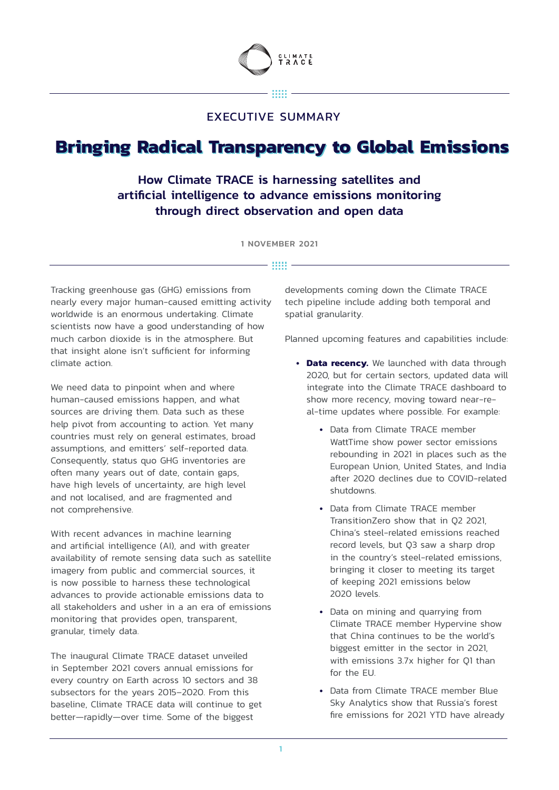

#### 33333

## EXECUTIVE SUMMARY

# **Bringing Radical Transparency to Global Emissions Bringing Radical Transparency to Global Emissions**

## How Climate TRACE is harnessing satellites and artificial intelligence to advance emissions monitoring through direct observation and open data

1 NOVEMBER 2021

### $\cdots$   $-$

Tracking greenhouse gas (GHG) emissions from nearly every major human-caused emitting activity worldwide is an enormous undertaking. Climate scientists now have a good understanding of how much carbon dioxide is in the atmosphere. But that insight alone isn't sufficient for informing climate action.

We need data to pinpoint when and where human-caused emissions happen, and what sources are driving them. Data such as these help pivot from accounting to action. Yet many countries must rely on general estimates, broad assumptions, and emitters' self-reported data. Consequently, status quo GHG inventories are often many years out of date, contain gaps, have high levels of uncertainty, are high level and not localised, and are fragmented and not comprehensive.

With recent advances in machine learning and artificial intelligence (AI), and with greater availability of remote sensing data such as satellite imagery from public and commercial sources, it is now possible to harness these technological advances to provide actionable emissions data to all stakeholders and usher in a an era of emissions monitoring that provides open, transparent, granular, timely data.

The inaugural Climate TRACE dataset unveiled in September 2021 covers annual emissions for every country on Earth across 10 sectors and 38 subsectors for the years 2015–2020. From this baseline, Climate TRACE data will continue to get better—rapidly—over time. Some of the biggest

developments coming down the Climate TRACE tech pipeline include adding both temporal and spatial granularity.

Planned upcoming features and capabilities include:

- **• Data recency.** We launched with data through 2020, but for certain sectors, updated data will integrate into the Climate TRACE dashboard to show more recency, moving toward near-real-time updates where possible. For example:
	- **•** Data from Climate TRACE member WattTime show power sector emissions rebounding in 2021 in places such as the European Union, United States, and India after 2020 declines due to COVID-related shutdowns.
	- **•** Data from Climate TRACE member TransitionZero show that in Q2 2021, China's steel-related emissions reached record levels, but Q3 saw a sharp drop in the country's steel-related emissions, bringing it closer to meeting its target of keeping 2021 emissions below 2020 levels.
	- **•** Data on mining and quarrying from Climate TRACE member Hypervine show that China continues to be the world's biggest emitter in the sector in 2021, with emissions 3.7x higher for Q1 than for the EU.
	- **•** Data from Climate TRACE member Blue Sky Analytics show that Russia's forest fire emissions for 2021 YTD have already